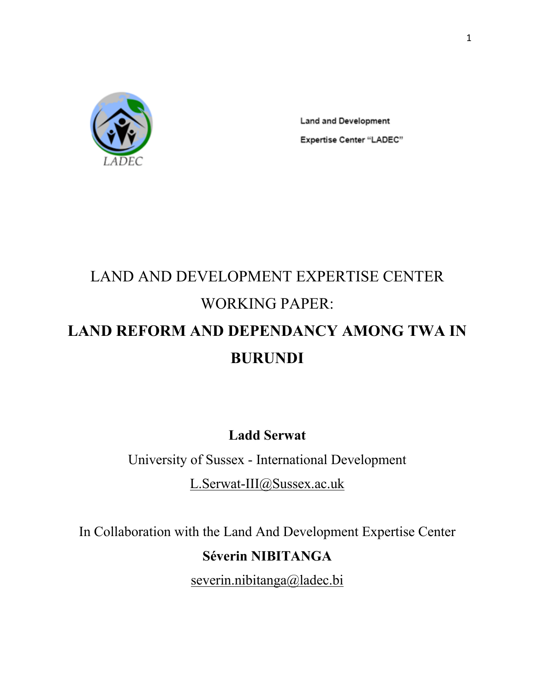

**Land and Development Expertise Center "LADEC"** 

# LAND AND DEVELOPMENT EXPERTISE CENTER WORKING PAPER: **LAND REFORM AND DEPENDANCY AMONG TWA IN BURUNDI**

**Ladd Serwat**

University of Sussex - International Development

L.Serwat-III@Sussex.ac.uk

In Collaboration with the Land And Development Expertise Center

## **Séverin NIBITANGA**

severin.nibitanga@ladec.bi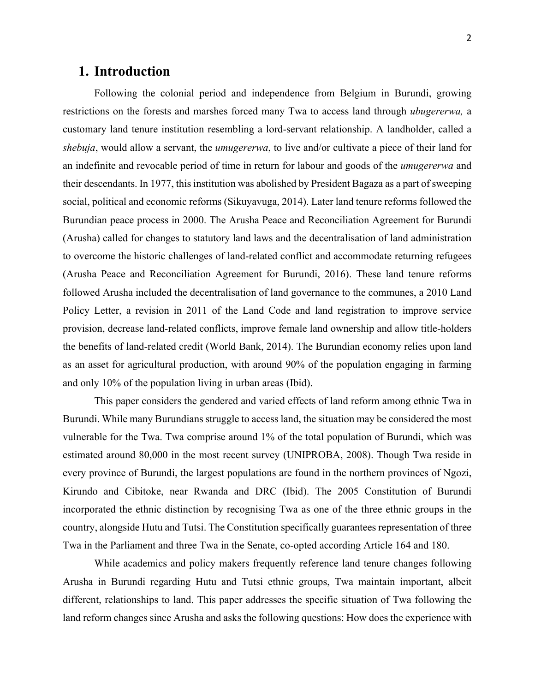## **1. Introduction**

Following the colonial period and independence from Belgium in Burundi, growing restrictions on the forests and marshes forced many Twa to access land through *ubugererwa,* a customary land tenure institution resembling a lord-servant relationship. A landholder, called a *shebuja*, would allow a servant, the *umugererwa*, to live and/or cultivate a piece of their land for an indefinite and revocable period of time in return for labour and goods of the *umugererwa* and their descendants. In 1977, this institution was abolished by President Bagaza as a part of sweeping social, political and economic reforms (Sikuyavuga, 2014). Later land tenure reforms followed the Burundian peace process in 2000. The Arusha Peace and Reconciliation Agreement for Burundi (Arusha) called for changes to statutory land laws and the decentralisation of land administration to overcome the historic challenges of land-related conflict and accommodate returning refugees (Arusha Peace and Reconciliation Agreement for Burundi, 2016). These land tenure reforms followed Arusha included the decentralisation of land governance to the communes, a 2010 Land Policy Letter, a revision in 2011 of the Land Code and land registration to improve service provision, decrease land-related conflicts, improve female land ownership and allow title-holders the benefits of land-related credit (World Bank, 2014). The Burundian economy relies upon land as an asset for agricultural production, with around 90% of the population engaging in farming and only 10% of the population living in urban areas (Ibid).

This paper considers the gendered and varied effects of land reform among ethnic Twa in Burundi. While many Burundians struggle to access land, the situation may be considered the most vulnerable for the Twa. Twa comprise around 1% of the total population of Burundi, which was estimated around 80,000 in the most recent survey (UNIPROBA, 2008). Though Twa reside in every province of Burundi, the largest populations are found in the northern provinces of Ngozi, Kirundo and Cibitoke, near Rwanda and DRC (Ibid). The 2005 Constitution of Burundi incorporated the ethnic distinction by recognising Twa as one of the three ethnic groups in the country, alongside Hutu and Tutsi. The Constitution specifically guarantees representation of three Twa in the Parliament and three Twa in the Senate, co-opted according Article 164 and 180.

While academics and policy makers frequently reference land tenure changes following Arusha in Burundi regarding Hutu and Tutsi ethnic groups, Twa maintain important, albeit different, relationships to land. This paper addresses the specific situation of Twa following the land reform changes since Arusha and asks the following questions: How does the experience with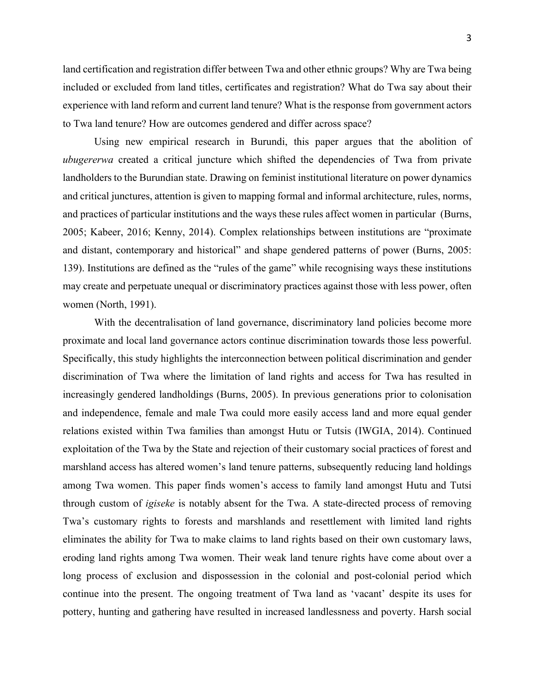land certification and registration differ between Twa and other ethnic groups? Why are Twa being included or excluded from land titles, certificates and registration? What do Twa say about their experience with land reform and current land tenure? What is the response from government actors to Twa land tenure? How are outcomes gendered and differ across space?

Using new empirical research in Burundi, this paper argues that the abolition of *ubugererwa* created a critical juncture which shifted the dependencies of Twa from private landholders to the Burundian state. Drawing on feminist institutional literature on power dynamics and critical junctures, attention is given to mapping formal and informal architecture, rules, norms, and practices of particular institutions and the ways these rules affect women in particular (Burns, 2005; Kabeer, 2016; Kenny, 2014). Complex relationships between institutions are "proximate and distant, contemporary and historical" and shape gendered patterns of power (Burns, 2005: 139). Institutions are defined as the "rules of the game" while recognising ways these institutions may create and perpetuate unequal or discriminatory practices against those with less power, often women (North, 1991).

With the decentralisation of land governance, discriminatory land policies become more proximate and local land governance actors continue discrimination towards those less powerful. Specifically, this study highlights the interconnection between political discrimination and gender discrimination of Twa where the limitation of land rights and access for Twa has resulted in increasingly gendered landholdings (Burns, 2005). In previous generations prior to colonisation and independence, female and male Twa could more easily access land and more equal gender relations existed within Twa families than amongst Hutu or Tutsis (IWGIA, 2014). Continued exploitation of the Twa by the State and rejection of their customary social practices of forest and marshland access has altered women's land tenure patterns, subsequently reducing land holdings among Twa women. This paper finds women's access to family land amongst Hutu and Tutsi through custom of *igiseke* is notably absent for the Twa. A state-directed process of removing Twa's customary rights to forests and marshlands and resettlement with limited land rights eliminates the ability for Twa to make claims to land rights based on their own customary laws, eroding land rights among Twa women. Their weak land tenure rights have come about over a long process of exclusion and dispossession in the colonial and post-colonial period which continue into the present. The ongoing treatment of Twa land as 'vacant' despite its uses for pottery, hunting and gathering have resulted in increased landlessness and poverty. Harsh social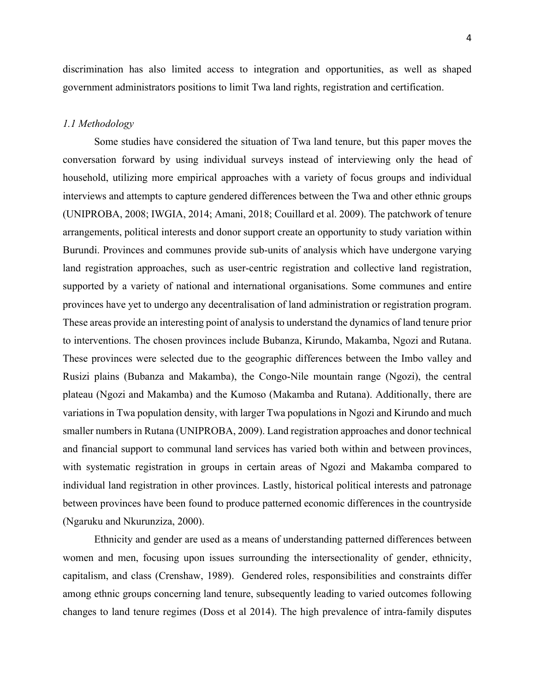discrimination has also limited access to integration and opportunities, as well as shaped government administrators positions to limit Twa land rights, registration and certification.

#### *1.1 Methodology*

Some studies have considered the situation of Twa land tenure, but this paper moves the conversation forward by using individual surveys instead of interviewing only the head of household, utilizing more empirical approaches with a variety of focus groups and individual interviews and attempts to capture gendered differences between the Twa and other ethnic groups (UNIPROBA, 2008; IWGIA, 2014; Amani, 2018; Couillard et al. 2009). The patchwork of tenure arrangements, political interests and donor support create an opportunity to study variation within Burundi. Provinces and communes provide sub-units of analysis which have undergone varying land registration approaches, such as user-centric registration and collective land registration, supported by a variety of national and international organisations. Some communes and entire provinces have yet to undergo any decentralisation of land administration or registration program. These areas provide an interesting point of analysis to understand the dynamics of land tenure prior to interventions. The chosen provinces include Bubanza, Kirundo, Makamba, Ngozi and Rutana. These provinces were selected due to the geographic differences between the Imbo valley and Rusizi plains (Bubanza and Makamba), the Congo-Nile mountain range (Ngozi), the central plateau (Ngozi and Makamba) and the Kumoso (Makamba and Rutana). Additionally, there are variations in Twa population density, with larger Twa populations in Ngozi and Kirundo and much smaller numbers in Rutana (UNIPROBA, 2009). Land registration approaches and donor technical and financial support to communal land services has varied both within and between provinces, with systematic registration in groups in certain areas of Ngozi and Makamba compared to individual land registration in other provinces. Lastly, historical political interests and patronage between provinces have been found to produce patterned economic differences in the countryside (Ngaruku and Nkurunziza, 2000).

Ethnicity and gender are used as a means of understanding patterned differences between women and men, focusing upon issues surrounding the intersectionality of gender, ethnicity, capitalism, and class (Crenshaw, 1989). Gendered roles, responsibilities and constraints differ among ethnic groups concerning land tenure, subsequently leading to varied outcomes following changes to land tenure regimes (Doss et al 2014). The high prevalence of intra-family disputes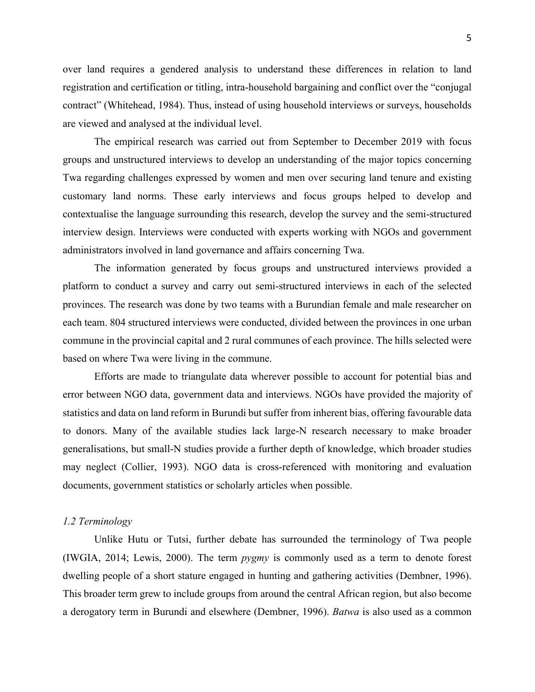over land requires a gendered analysis to understand these differences in relation to land registration and certification or titling, intra-household bargaining and conflict over the "conjugal contract" (Whitehead, 1984). Thus, instead of using household interviews or surveys, households are viewed and analysed at the individual level.

The empirical research was carried out from September to December 2019 with focus groups and unstructured interviews to develop an understanding of the major topics concerning Twa regarding challenges expressed by women and men over securing land tenure and existing customary land norms. These early interviews and focus groups helped to develop and contextualise the language surrounding this research, develop the survey and the semi-structured interview design. Interviews were conducted with experts working with NGOs and government administrators involved in land governance and affairs concerning Twa.

The information generated by focus groups and unstructured interviews provided a platform to conduct a survey and carry out semi-structured interviews in each of the selected provinces. The research was done by two teams with a Burundian female and male researcher on each team. 804 structured interviews were conducted, divided between the provinces in one urban commune in the provincial capital and 2 rural communes of each province. The hills selected were based on where Twa were living in the commune.

Efforts are made to triangulate data wherever possible to account for potential bias and error between NGO data, government data and interviews. NGOs have provided the majority of statistics and data on land reform in Burundi but suffer from inherent bias, offering favourable data to donors. Many of the available studies lack large-N research necessary to make broader generalisations, but small-N studies provide a further depth of knowledge, which broader studies may neglect (Collier, 1993). NGO data is cross-referenced with monitoring and evaluation documents, government statistics or scholarly articles when possible.

#### *1.2 Terminology*

Unlike Hutu or Tutsi, further debate has surrounded the terminology of Twa people (IWGIA, 2014; Lewis, 2000). The term *pygmy* is commonly used as a term to denote forest dwelling people of a short stature engaged in hunting and gathering activities (Dembner, 1996). This broader term grew to include groups from around the central African region, but also become a derogatory term in Burundi and elsewhere (Dembner, 1996). *Batwa* is also used as a common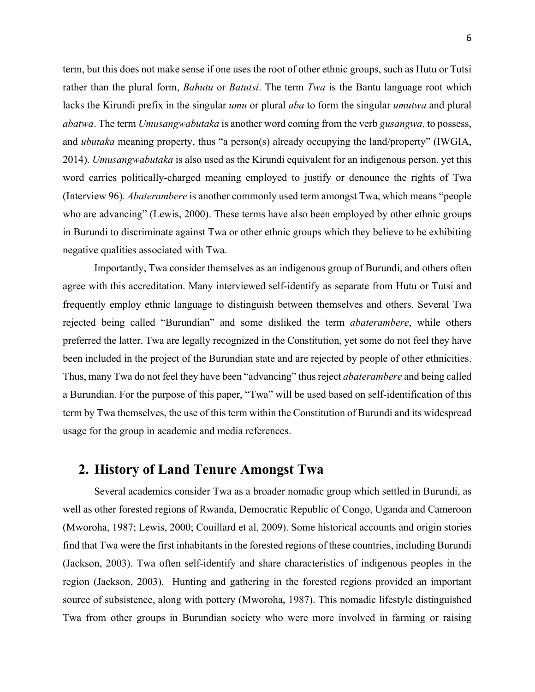term, but this does not make sense if one uses the root of other ethnic groups, such as Hutu or Tutsi rather than the plural form, *Bahutu* or *Batutsi*. The term *Twa* is the Bantu language root which lacks the Kirundi prefix in the singular *umu* or plural *aba* to form the singular *umutwa* and plural *abatwa*. The term *Umusangwabutaka* is another word coming from the verb *gusangwa,* to possess, and *ubutaka* meaning property, thus "a person(s) already occupying the land/property" (IWGIA, 2014). *Umusangwabutaka* is also used as the Kirundi equivalent for an indigenous person, yet this word carries politically-charged meaning employed to justify or denounce the rights of Twa (Interview 96). *Abaterambere* is another commonly used term amongst Twa, which means "people who are advancing" (Lewis, 2000). These terms have also been employed by other ethnic groups in Burundi to discriminate against Twa or other ethnic groups which they believe to be exhibiting negative qualities associated with Twa.

Importantly, Twa consider themselves as an indigenous group of Burundi, and others often agree with this accreditation. Many interviewed self-identify as separate from Hutu or Tutsi and frequently employ ethnic language to distinguish between themselves and others. Several Twa rejected being called "Burundian" and some disliked the term *abaterambere*, while others preferred the latter. Twa are legally recognized in the Constitution, yet some do not feel they have been included in the project of the Burundian state and are rejected by people of other ethnicities. Thus, many Twa do not feel they have been "advancing" thus reject *abaterambere* and being called a Burundian. For the purpose of this paper, "Twa" will be used based on self-identification of this term by Twa themselves, the use of this term within the Constitution of Burundi and its widespread usage for the group in academic and media references.

## **2. History of Land Tenure Amongst Twa**

Several academics consider Twa as a broader nomadic group which settled in Burundi, as well as other forested regions of Rwanda, Democratic Republic of Congo, Uganda and Cameroon (Mworoha, 1987; Lewis, 2000; Couillard et al, 2009). Some historical accounts and origin stories find that Twa were the first inhabitants in the forested regions of these countries, including Burundi (Jackson, 2003). Twa often self-identify and share characteristics of indigenous peoples in the region (Jackson, 2003). Hunting and gathering in the forested regions provided an important source of subsistence, along with pottery (Mworoha, 1987). This nomadic lifestyle distinguished Twa from other groups in Burundian society who were more involved in farming or raising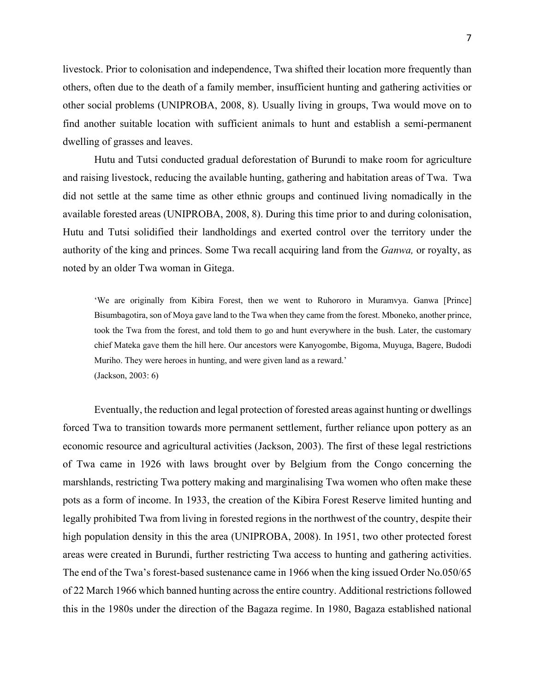livestock. Prior to colonisation and independence, Twa shifted their location more frequently than others, often due to the death of a family member, insufficient hunting and gathering activities or other social problems (UNIPROBA, 2008, 8). Usually living in groups, Twa would move on to find another suitable location with sufficient animals to hunt and establish a semi-permanent dwelling of grasses and leaves.

Hutu and Tutsi conducted gradual deforestation of Burundi to make room for agriculture and raising livestock, reducing the available hunting, gathering and habitation areas of Twa. Twa did not settle at the same time as other ethnic groups and continued living nomadically in the available forested areas (UNIPROBA, 2008, 8). During this time prior to and during colonisation, Hutu and Tutsi solidified their landholdings and exerted control over the territory under the authority of the king and princes. Some Twa recall acquiring land from the *Ganwa,* or royalty, as noted by an older Twa woman in Gitega.

'We are originally from Kibira Forest, then we went to Ruhororo in Muramvya. Ganwa [Prince] Bisumbagotira, son of Moya gave land to the Twa when they came from the forest. Mboneko, another prince, took the Twa from the forest, and told them to go and hunt everywhere in the bush. Later, the customary chief Mateka gave them the hill here. Our ancestors were Kanyogombe, Bigoma, Muyuga, Bagere, Budodi Muriho. They were heroes in hunting, and were given land as a reward.' (Jackson, 2003: 6)

Eventually, the reduction and legal protection of forested areas against hunting or dwellings forced Twa to transition towards more permanent settlement, further reliance upon pottery as an economic resource and agricultural activities (Jackson, 2003). The first of these legal restrictions of Twa came in 1926 with laws brought over by Belgium from the Congo concerning the marshlands, restricting Twa pottery making and marginalising Twa women who often make these pots as a form of income. In 1933, the creation of the Kibira Forest Reserve limited hunting and legally prohibited Twa from living in forested regions in the northwest of the country, despite their high population density in this the area (UNIPROBA, 2008). In 1951, two other protected forest areas were created in Burundi, further restricting Twa access to hunting and gathering activities. The end of the Twa's forest-based sustenance came in 1966 when the king issued Order No.050/65 of 22 March 1966 which banned hunting across the entire country. Additional restrictions followed this in the 1980s under the direction of the Bagaza regime. In 1980, Bagaza established national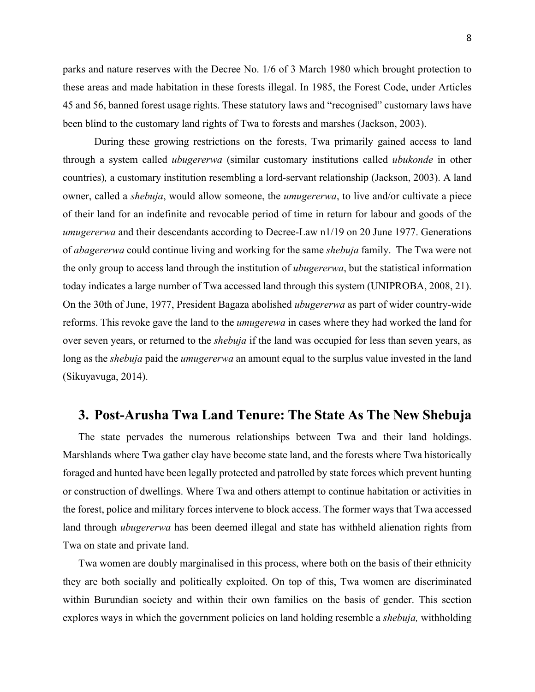parks and nature reserves with the Decree No. 1/6 of 3 March 1980 which brought protection to these areas and made habitation in these forests illegal. In 1985, the Forest Code, under Articles 45 and 56, banned forest usage rights. These statutory laws and "recognised" customary laws have been blind to the customary land rights of Twa to forests and marshes (Jackson, 2003).

During these growing restrictions on the forests, Twa primarily gained access to land through a system called *ubugererwa* (similar customary institutions called *ubukonde* in other countries)*,* a customary institution resembling a lord-servant relationship (Jackson, 2003). A land owner, called a *shebuja*, would allow someone, the *umugererwa*, to live and/or cultivate a piece of their land for an indefinite and revocable period of time in return for labour and goods of the *umugererwa* and their descendants according to Decree-Law n1/19 on 20 June 1977. Generations of *abagererwa* could continue living and working for the same *shebuja* family. The Twa were not the only group to access land through the institution of *ubugererwa*, but the statistical information today indicates a large number of Twa accessed land through this system (UNIPROBA, 2008, 21). On the 30th of June, 1977, President Bagaza abolished *ubugererwa* as part of wider country-wide reforms. This revoke gave the land to the *umugerewa* in cases where they had worked the land for over seven years, or returned to the *shebuja* if the land was occupied for less than seven years, as long as the *shebuja* paid the *umugererwa* an amount equal to the surplus value invested in the land (Sikuyavuga, 2014).

## **3. Post-Arusha Twa Land Tenure: The State As The New Shebuja**

The state pervades the numerous relationships between Twa and their land holdings. Marshlands where Twa gather clay have become state land, and the forests where Twa historically foraged and hunted have been legally protected and patrolled by state forces which prevent hunting or construction of dwellings. Where Twa and others attempt to continue habitation or activities in the forest, police and military forces intervene to block access. The former ways that Twa accessed land through *ubugererwa* has been deemed illegal and state has withheld alienation rights from Twa on state and private land.

Twa women are doubly marginalised in this process, where both on the basis of their ethnicity they are both socially and politically exploited. On top of this, Twa women are discriminated within Burundian society and within their own families on the basis of gender. This section explores ways in which the government policies on land holding resemble a *shebuja,* withholding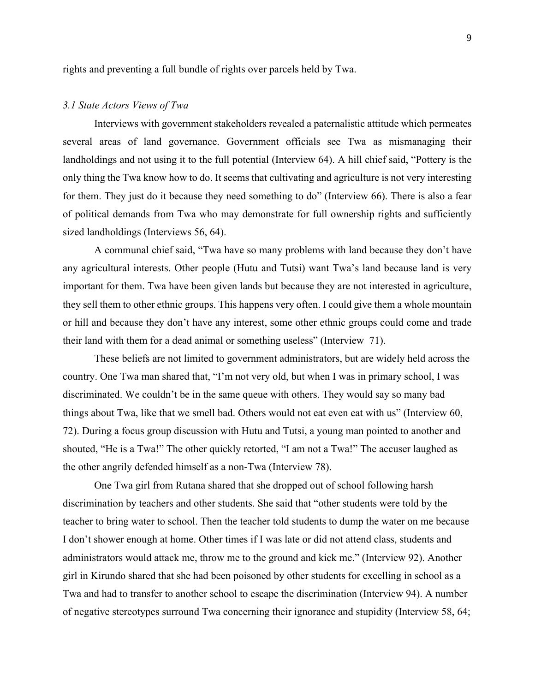rights and preventing a full bundle of rights over parcels held by Twa.

#### *3.1 State Actors Views of Twa*

Interviews with government stakeholders revealed a paternalistic attitude which permeates several areas of land governance. Government officials see Twa as mismanaging their landholdings and not using it to the full potential (Interview 64). A hill chief said, "Pottery is the only thing the Twa know how to do. It seems that cultivating and agriculture is not very interesting for them. They just do it because they need something to do" (Interview 66). There is also a fear of political demands from Twa who may demonstrate for full ownership rights and sufficiently sized landholdings (Interviews 56, 64).

A communal chief said, "Twa have so many problems with land because they don't have any agricultural interests. Other people (Hutu and Tutsi) want Twa's land because land is very important for them. Twa have been given lands but because they are not interested in agriculture, they sell them to other ethnic groups. This happens very often. I could give them a whole mountain or hill and because they don't have any interest, some other ethnic groups could come and trade their land with them for a dead animal or something useless" (Interview 71).

These beliefs are not limited to government administrators, but are widely held across the country. One Twa man shared that, "I'm not very old, but when I was in primary school, I was discriminated. We couldn't be in the same queue with others. They would say so many bad things about Twa, like that we smell bad. Others would not eat even eat with us" (Interview 60, 72). During a focus group discussion with Hutu and Tutsi, a young man pointed to another and shouted, "He is a Twa!" The other quickly retorted, "I am not a Twa!" The accuser laughed as the other angrily defended himself as a non-Twa (Interview 78).

One Twa girl from Rutana shared that she dropped out of school following harsh discrimination by teachers and other students. She said that "other students were told by the teacher to bring water to school. Then the teacher told students to dump the water on me because I don't shower enough at home. Other times if I was late or did not attend class, students and administrators would attack me, throw me to the ground and kick me." (Interview 92). Another girl in Kirundo shared that she had been poisoned by other students for excelling in school as a Twa and had to transfer to another school to escape the discrimination (Interview 94). A number of negative stereotypes surround Twa concerning their ignorance and stupidity (Interview 58, 64;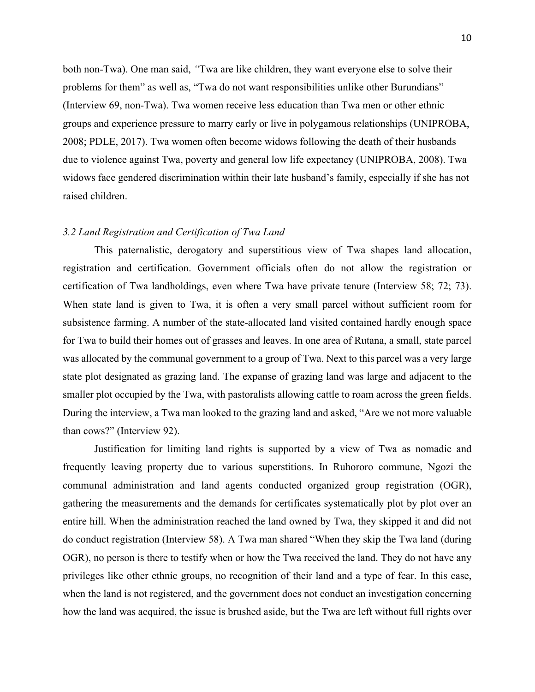both non-Twa). One man said, *"*Twa are like children, they want everyone else to solve their problems for them" as well as, "Twa do not want responsibilities unlike other Burundians" (Interview 69, non-Twa). Twa women receive less education than Twa men or other ethnic groups and experience pressure to marry early or live in polygamous relationships (UNIPROBA, 2008; PDLE, 2017). Twa women often become widows following the death of their husbands due to violence against Twa, poverty and general low life expectancy (UNIPROBA, 2008). Twa widows face gendered discrimination within their late husband's family, especially if she has not raised children.

#### *3.2 Land Registration and Certification of Twa Land*

This paternalistic, derogatory and superstitious view of Twa shapes land allocation, registration and certification. Government officials often do not allow the registration or certification of Twa landholdings, even where Twa have private tenure (Interview 58; 72; 73). When state land is given to Twa, it is often a very small parcel without sufficient room for subsistence farming. A number of the state-allocated land visited contained hardly enough space for Twa to build their homes out of grasses and leaves. In one area of Rutana, a small, state parcel was allocated by the communal government to a group of Twa. Next to this parcel was a very large state plot designated as grazing land. The expanse of grazing land was large and adjacent to the smaller plot occupied by the Twa, with pastoralists allowing cattle to roam across the green fields. During the interview, a Twa man looked to the grazing land and asked, "Are we not more valuable than cows?" (Interview 92).

Justification for limiting land rights is supported by a view of Twa as nomadic and frequently leaving property due to various superstitions. In Ruhororo commune, Ngozi the communal administration and land agents conducted organized group registration (OGR), gathering the measurements and the demands for certificates systematically plot by plot over an entire hill. When the administration reached the land owned by Twa, they skipped it and did not do conduct registration (Interview 58). A Twa man shared "When they skip the Twa land (during OGR), no person is there to testify when or how the Twa received the land. They do not have any privileges like other ethnic groups, no recognition of their land and a type of fear. In this case, when the land is not registered, and the government does not conduct an investigation concerning how the land was acquired, the issue is brushed aside, but the Twa are left without full rights over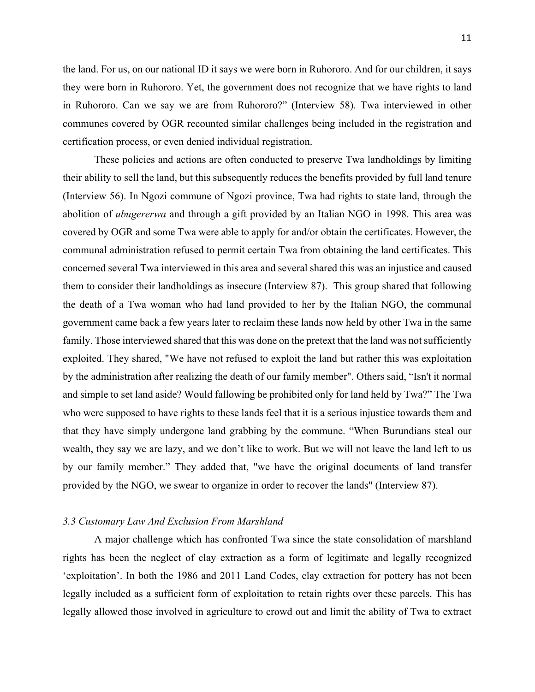the land. For us, on our national ID it says we were born in Ruhororo. And for our children, it says they were born in Ruhororo. Yet, the government does not recognize that we have rights to land in Ruhororo. Can we say we are from Ruhororo?" (Interview 58). Twa interviewed in other communes covered by OGR recounted similar challenges being included in the registration and certification process, or even denied individual registration.

These policies and actions are often conducted to preserve Twa landholdings by limiting their ability to sell the land, but this subsequently reduces the benefits provided by full land tenure (Interview 56). In Ngozi commune of Ngozi province, Twa had rights to state land, through the abolition of *ubugererwa* and through a gift provided by an Italian NGO in 1998. This area was covered by OGR and some Twa were able to apply for and/or obtain the certificates. However, the communal administration refused to permit certain Twa from obtaining the land certificates. This concerned several Twa interviewed in this area and several shared this was an injustice and caused them to consider their landholdings as insecure (Interview 87). This group shared that following the death of a Twa woman who had land provided to her by the Italian NGO, the communal government came back a few years later to reclaim these lands now held by other Twa in the same family. Those interviewed shared that this was done on the pretext that the land was not sufficiently exploited. They shared, "We have not refused to exploit the land but rather this was exploitation by the administration after realizing the death of our family member". Others said, "Isn't it normal and simple to set land aside? Would fallowing be prohibited only for land held by Twa?" The Twa who were supposed to have rights to these lands feel that it is a serious injustice towards them and that they have simply undergone land grabbing by the commune. "When Burundians steal our wealth, they say we are lazy, and we don't like to work. But we will not leave the land left to us by our family member." They added that, "we have the original documents of land transfer provided by the NGO, we swear to organize in order to recover the lands" (Interview 87).

#### *3.3 Customary Law And Exclusion From Marshland*

A major challenge which has confronted Twa since the state consolidation of marshland rights has been the neglect of clay extraction as a form of legitimate and legally recognized 'exploitation'. In both the 1986 and 2011 Land Codes, clay extraction for pottery has not been legally included as a sufficient form of exploitation to retain rights over these parcels. This has legally allowed those involved in agriculture to crowd out and limit the ability of Twa to extract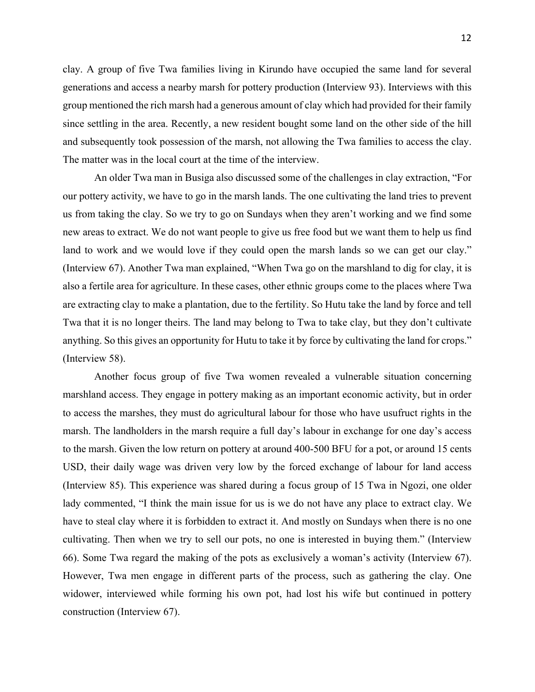clay. A group of five Twa families living in Kirundo have occupied the same land for several generations and access a nearby marsh for pottery production (Interview 93). Interviews with this group mentioned the rich marsh had a generous amount of clay which had provided for their family since settling in the area. Recently, a new resident bought some land on the other side of the hill and subsequently took possession of the marsh, not allowing the Twa families to access the clay. The matter was in the local court at the time of the interview.

An older Twa man in Busiga also discussed some of the challenges in clay extraction, "For our pottery activity, we have to go in the marsh lands. The one cultivating the land tries to prevent us from taking the clay. So we try to go on Sundays when they aren't working and we find some new areas to extract. We do not want people to give us free food but we want them to help us find land to work and we would love if they could open the marsh lands so we can get our clay." (Interview 67). Another Twa man explained, "When Twa go on the marshland to dig for clay, it is also a fertile area for agriculture. In these cases, other ethnic groups come to the places where Twa are extracting clay to make a plantation, due to the fertility. So Hutu take the land by force and tell Twa that it is no longer theirs. The land may belong to Twa to take clay, but they don't cultivate anything. So this gives an opportunity for Hutu to take it by force by cultivating the land for crops." (Interview 58).

Another focus group of five Twa women revealed a vulnerable situation concerning marshland access. They engage in pottery making as an important economic activity, but in order to access the marshes, they must do agricultural labour for those who have usufruct rights in the marsh. The landholders in the marsh require a full day's labour in exchange for one day's access to the marsh. Given the low return on pottery at around 400-500 BFU for a pot, or around 15 cents USD, their daily wage was driven very low by the forced exchange of labour for land access (Interview 85). This experience was shared during a focus group of 15 Twa in Ngozi, one older lady commented, "I think the main issue for us is we do not have any place to extract clay. We have to steal clay where it is forbidden to extract it. And mostly on Sundays when there is no one cultivating. Then when we try to sell our pots, no one is interested in buying them." (Interview 66). Some Twa regard the making of the pots as exclusively a woman's activity (Interview 67). However, Twa men engage in different parts of the process, such as gathering the clay. One widower, interviewed while forming his own pot, had lost his wife but continued in pottery construction (Interview 67).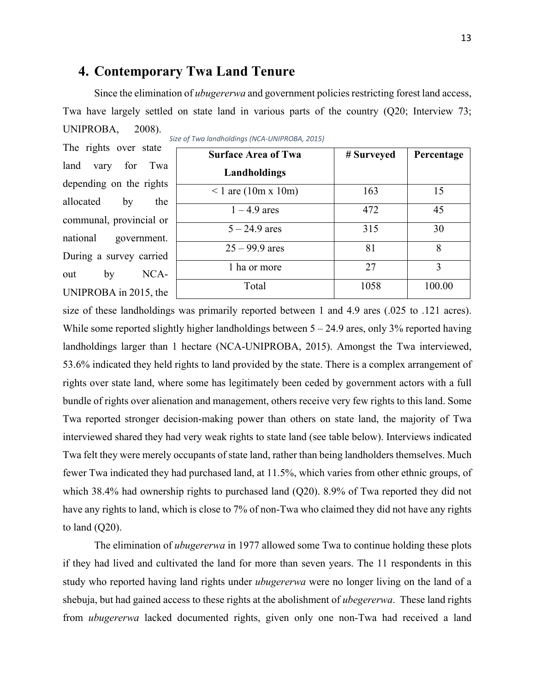## **4. Contemporary Twa Land Tenure**

Since the elimination of *ubugererwa* and government policies restricting forest land access, Twa have largely settled on state land in various parts of the country (Q20; Interview 73; UNIPROBA, 2008).

The rights over state land vary for Tw depending on the rights allocated by the communal, provincial or national government. During a survey carried out by NCA-UNIPROBA in 2015, the

| <b>Surface Area of Twa</b> | # Surveyed | Percentage |  |
|----------------------------|------------|------------|--|
| Landholdings               |            |            |  |
| $1$ are (10m x 10m)        | 163        | 15         |  |
| $1 - 4.9$ ares             | 472        | 45         |  |
| $5 - 24.9$ ares            | 315        | 30         |  |
| $25 - 99.9$ ares           | 81         | 8          |  |
| 1 ha or more               | 27         | 3          |  |
| Total                      | 1058       | 100.00     |  |

*Size of Twa landholdings (NCA-UNIPROBA, 2015)*

size of these landholdings was primarily reported between 1 and 4.9 ares (.025 to .121 acres). While some reported slightly higher landholdings between  $5 - 24.9$  ares, only 3% reported having landholdings larger than 1 hectare (NCA-UNIPROBA, 2015). Amongst the Twa interviewed, 53.6% indicated they held rights to land provided by the state. There is a complex arrangement of rights over state land, where some has legitimately been ceded by government actors with a full bundle of rights over alienation and management, others receive very few rights to this land. Some Twa reported stronger decision-making power than others on state land, the majority of Twa interviewed shared they had very weak rights to state land (see table below). Interviews indicated Twa felt they were merely occupants of state land, rather than being landholders themselves. Much fewer Twa indicated they had purchased land, at 11.5%, which varies from other ethnic groups, of which 38.4% had ownership rights to purchased land (Q20). 8.9% of Twa reported they did not have any rights to land, which is close to 7% of non-Twa who claimed they did not have any rights to land (Q20).

The elimination of *ubugererwa* in 1977 allowed some Twa to continue holding these plots if they had lived and cultivated the land for more than seven years. The 11 respondents in this study who reported having land rights under *ubugererwa* were no longer living on the land of a shebuja, but had gained access to these rights at the abolishment of *ubegererwa*. These land rights from *ubugererwa* lacked documented rights, given only one non-Twa had received a land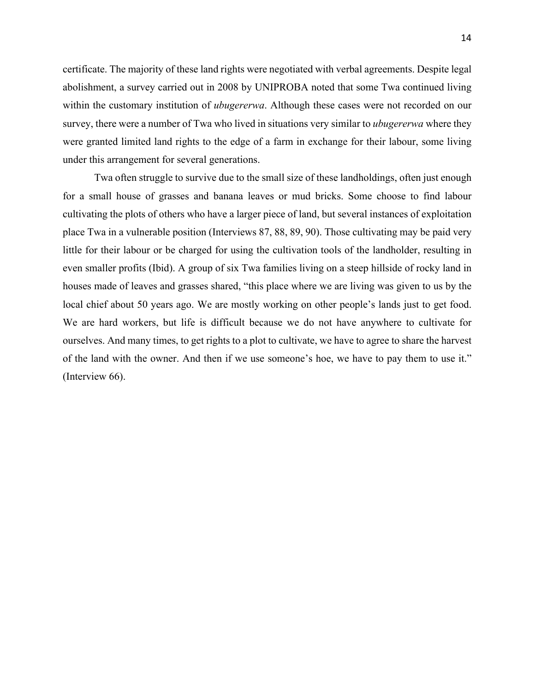certificate. The majority of these land rights were negotiated with verbal agreements. Despite legal abolishment, a survey carried out in 2008 by UNIPROBA noted that some Twa continued living within the customary institution of *ubugererwa*. Although these cases were not recorded on our survey, there were a number of Twa who lived in situations very similar to *ubugererwa* where they were granted limited land rights to the edge of a farm in exchange for their labour, some living under this arrangement for several generations.

Twa often struggle to survive due to the small size of these landholdings, often just enough for a small house of grasses and banana leaves or mud bricks. Some choose to find labour cultivating the plots of others who have a larger piece of land, but several instances of exploitation place Twa in a vulnerable position (Interviews 87, 88, 89, 90). Those cultivating may be paid very little for their labour or be charged for using the cultivation tools of the landholder, resulting in even smaller profits (Ibid). A group of six Twa families living on a steep hillside of rocky land in houses made of leaves and grasses shared, "this place where we are living was given to us by the local chief about 50 years ago. We are mostly working on other people's lands just to get food. We are hard workers, but life is difficult because we do not have anywhere to cultivate for ourselves. And many times, to get rights to a plot to cultivate, we have to agree to share the harvest of the land with the owner. And then if we use someone's hoe, we have to pay them to use it." (Interview 66).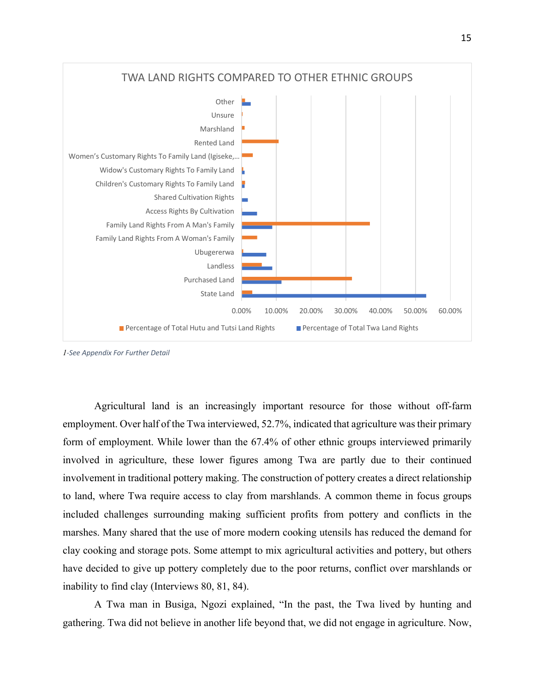

*<sup>1</sup>-See Appendix For Further Detail*

Agricultural land is an increasingly important resource for those without off-farm employment. Over half of the Twa interviewed, 52.7%, indicated that agriculture was their primary form of employment. While lower than the 67.4% of other ethnic groups interviewed primarily involved in agriculture, these lower figures among Twa are partly due to their continued involvement in traditional pottery making. The construction of pottery creates a direct relationship to land, where Twa require access to clay from marshlands. A common theme in focus groups included challenges surrounding making sufficient profits from pottery and conflicts in the marshes. Many shared that the use of more modern cooking utensils has reduced the demand for clay cooking and storage pots. Some attempt to mix agricultural activities and pottery, but others have decided to give up pottery completely due to the poor returns, conflict over marshlands or inability to find clay (Interviews 80, 81, 84).

A Twa man in Busiga, Ngozi explained, "In the past, the Twa lived by hunting and gathering. Twa did not believe in another life beyond that, we did not engage in agriculture. Now,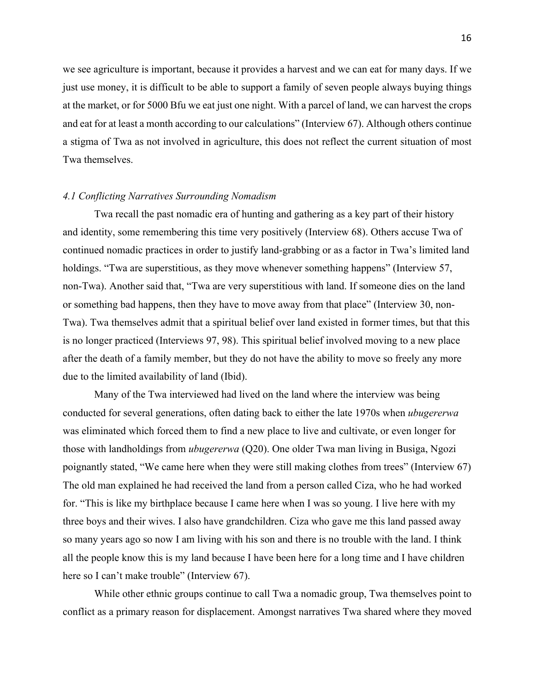we see agriculture is important, because it provides a harvest and we can eat for many days. If we just use money, it is difficult to be able to support a family of seven people always buying things at the market, or for 5000 Bfu we eat just one night. With a parcel of land, we can harvest the crops and eat for at least a month according to our calculations" (Interview 67). Although others continue a stigma of Twa as not involved in agriculture, this does not reflect the current situation of most Twa themselves.

#### *4.1 Conflicting Narratives Surrounding Nomadism*

Twa recall the past nomadic era of hunting and gathering as a key part of their history and identity, some remembering this time very positively (Interview 68). Others accuse Twa of continued nomadic practices in order to justify land-grabbing or as a factor in Twa's limited land holdings. "Twa are superstitious, as they move whenever something happens" (Interview 57, non-Twa). Another said that, "Twa are very superstitious with land. If someone dies on the land or something bad happens, then they have to move away from that place" (Interview 30, non-Twa). Twa themselves admit that a spiritual belief over land existed in former times, but that this is no longer practiced (Interviews 97, 98). This spiritual belief involved moving to a new place after the death of a family member, but they do not have the ability to move so freely any more due to the limited availability of land (Ibid).

Many of the Twa interviewed had lived on the land where the interview was being conducted for several generations, often dating back to either the late 1970s when *ubugererwa* was eliminated which forced them to find a new place to live and cultivate, or even longer for those with landholdings from *ubugererwa* (Q20). One older Twa man living in Busiga, Ngozi poignantly stated, "We came here when they were still making clothes from trees" (Interview 67) The old man explained he had received the land from a person called Ciza, who he had worked for. "This is like my birthplace because I came here when I was so young. I live here with my three boys and their wives. I also have grandchildren. Ciza who gave me this land passed away so many years ago so now I am living with his son and there is no trouble with the land. I think all the people know this is my land because I have been here for a long time and I have children here so I can't make trouble" (Interview 67).

While other ethnic groups continue to call Twa a nomadic group, Twa themselves point to conflict as a primary reason for displacement. Amongst narratives Twa shared where they moved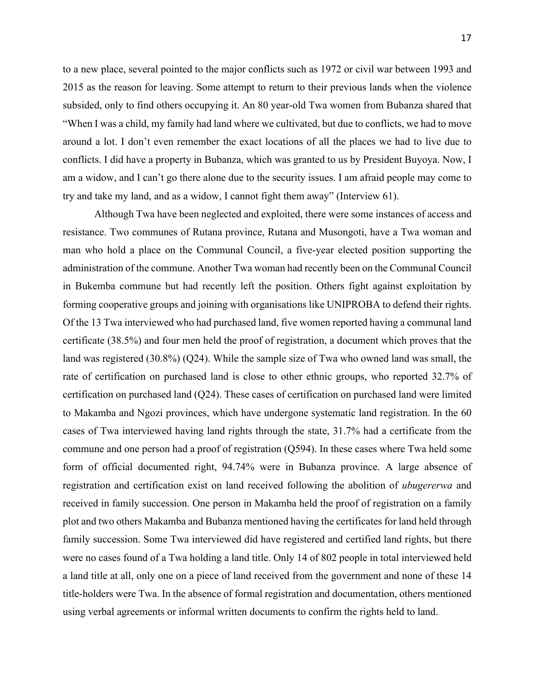to a new place, several pointed to the major conflicts such as 1972 or civil war between 1993 and 2015 as the reason for leaving. Some attempt to return to their previous lands when the violence subsided, only to find others occupying it. An 80 year-old Twa women from Bubanza shared that "When I was a child, my family had land where we cultivated, but due to conflicts, we had to move around a lot. I don't even remember the exact locations of all the places we had to live due to conflicts. I did have a property in Bubanza, which was granted to us by President Buyoya. Now, I am a widow, and I can't go there alone due to the security issues. I am afraid people may come to try and take my land, and as a widow, I cannot fight them away" (Interview 61).

Although Twa have been neglected and exploited, there were some instances of access and resistance. Two communes of Rutana province, Rutana and Musongoti, have a Twa woman and man who hold a place on the Communal Council, a five-year elected position supporting the administration of the commune. Another Twa woman had recently been on the Communal Council in Bukemba commune but had recently left the position. Others fight against exploitation by forming cooperative groups and joining with organisations like UNIPROBA to defend their rights. Of the 13 Twa interviewed who had purchased land, five women reported having a communal land certificate (38.5%) and four men held the proof of registration, a document which proves that the land was registered (30.8%) (Q24). While the sample size of Twa who owned land was small, the rate of certification on purchased land is close to other ethnic groups, who reported 32.7% of certification on purchased land (Q24). These cases of certification on purchased land were limited to Makamba and Ngozi provinces, which have undergone systematic land registration. In the 60 cases of Twa interviewed having land rights through the state, 31.7% had a certificate from the commune and one person had a proof of registration (Q594). In these cases where Twa held some form of official documented right, 94.74% were in Bubanza province. A large absence of registration and certification exist on land received following the abolition of *ubugererwa* and received in family succession. One person in Makamba held the proof of registration on a family plot and two others Makamba and Bubanza mentioned having the certificates for land held through family succession. Some Twa interviewed did have registered and certified land rights, but there were no cases found of a Twa holding a land title. Only 14 of 802 people in total interviewed held a land title at all, only one on a piece of land received from the government and none of these 14 title-holders were Twa. In the absence of formal registration and documentation, others mentioned using verbal agreements or informal written documents to confirm the rights held to land.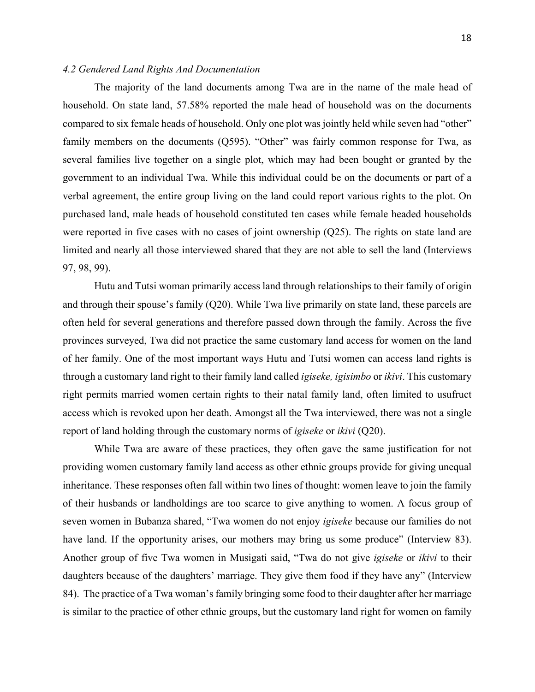#### *4.2 Gendered Land Rights And Documentation*

The majority of the land documents among Twa are in the name of the male head of household. On state land, 57.58% reported the male head of household was on the documents compared to six female heads of household. Only one plot was jointly held while seven had "other" family members on the documents (Q595). "Other" was fairly common response for Twa, as several families live together on a single plot, which may had been bought or granted by the government to an individual Twa. While this individual could be on the documents or part of a verbal agreement, the entire group living on the land could report various rights to the plot. On purchased land, male heads of household constituted ten cases while female headed households were reported in five cases with no cases of joint ownership (Q25). The rights on state land are limited and nearly all those interviewed shared that they are not able to sell the land (Interviews 97, 98, 99).

Hutu and Tutsi woman primarily access land through relationships to their family of origin and through their spouse's family (Q20). While Twa live primarily on state land, these parcels are often held for several generations and therefore passed down through the family. Across the five provinces surveyed, Twa did not practice the same customary land access for women on the land of her family. One of the most important ways Hutu and Tutsi women can access land rights is through a customary land right to their family land called *igiseke, igisimbo* or *ikivi*. This customary right permits married women certain rights to their natal family land, often limited to usufruct access which is revoked upon her death. Amongst all the Twa interviewed, there was not a single report of land holding through the customary norms of *igiseke* or *ikivi* (Q20).

While Twa are aware of these practices, they often gave the same justification for not providing women customary family land access as other ethnic groups provide for giving unequal inheritance. These responses often fall within two lines of thought: women leave to join the family of their husbands or landholdings are too scarce to give anything to women. A focus group of seven women in Bubanza shared, "Twa women do not enjoy *igiseke* because our families do not have land. If the opportunity arises, our mothers may bring us some produce" (Interview 83). Another group of five Twa women in Musigati said, "Twa do not give *igiseke* or *ikivi* to their daughters because of the daughters' marriage. They give them food if they have any" (Interview 84). The practice of a Twa woman's family bringing some food to their daughter after her marriage is similar to the practice of other ethnic groups, but the customary land right for women on family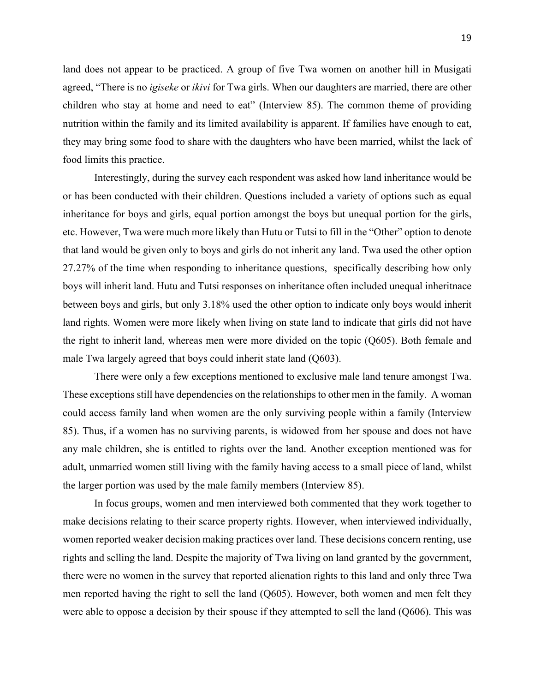land does not appear to be practiced. A group of five Twa women on another hill in Musigati agreed, "There is no *igiseke* or *ikivi* for Twa girls. When our daughters are married, there are other children who stay at home and need to eat" (Interview 85). The common theme of providing nutrition within the family and its limited availability is apparent. If families have enough to eat, they may bring some food to share with the daughters who have been married, whilst the lack of food limits this practice.

Interestingly, during the survey each respondent was asked how land inheritance would be or has been conducted with their children. Questions included a variety of options such as equal inheritance for boys and girls, equal portion amongst the boys but unequal portion for the girls, etc. However, Twa were much more likely than Hutu or Tutsi to fill in the "Other" option to denote that land would be given only to boys and girls do not inherit any land. Twa used the other option 27.27% of the time when responding to inheritance questions, specifically describing how only boys will inherit land. Hutu and Tutsi responses on inheritance often included unequal inheritnace between boys and girls, but only 3.18% used the other option to indicate only boys would inherit land rights. Women were more likely when living on state land to indicate that girls did not have the right to inherit land, whereas men were more divided on the topic (Q605). Both female and male Twa largely agreed that boys could inherit state land (Q603).

There were only a few exceptions mentioned to exclusive male land tenure amongst Twa. These exceptions still have dependencies on the relationships to other men in the family. A woman could access family land when women are the only surviving people within a family (Interview 85). Thus, if a women has no surviving parents, is widowed from her spouse and does not have any male children, she is entitled to rights over the land. Another exception mentioned was for adult, unmarried women still living with the family having access to a small piece of land, whilst the larger portion was used by the male family members (Interview 85).

In focus groups, women and men interviewed both commented that they work together to make decisions relating to their scarce property rights. However, when interviewed individually, women reported weaker decision making practices over land. These decisions concern renting, use rights and selling the land. Despite the majority of Twa living on land granted by the government, there were no women in the survey that reported alienation rights to this land and only three Twa men reported having the right to sell the land (Q605). However, both women and men felt they were able to oppose a decision by their spouse if they attempted to sell the land (Q606). This was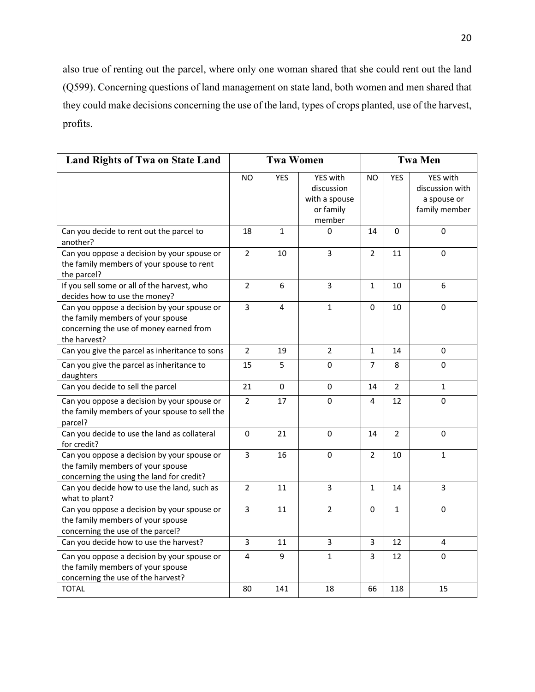also true of renting out the parcel, where only one woman shared that she could rent out the land (Q599). Concerning questions of land management on state land, both women and men shared that they could make decisions concerning the use of the land, types of crops planted, use of the harvest, profits.

| <b>Land Rights of Twa on State Land</b>                                                                                                     | <b>Twa Women</b> |              |                                                                       | <b>Twa Men</b> |                |                                                             |
|---------------------------------------------------------------------------------------------------------------------------------------------|------------------|--------------|-----------------------------------------------------------------------|----------------|----------------|-------------------------------------------------------------|
|                                                                                                                                             | NO               | <b>YES</b>   | <b>YES</b> with<br>discussion<br>with a spouse<br>or family<br>member | <b>NO</b>      | <b>YES</b>     | YES with<br>discussion with<br>a spouse or<br>family member |
| Can you decide to rent out the parcel to<br>another?                                                                                        | 18               | $\mathbf{1}$ | $\Omega$                                                              | 14             | 0              | 0                                                           |
| Can you oppose a decision by your spouse or<br>the family members of your spouse to rent<br>the parcel?                                     | $\overline{2}$   | 10           | $\overline{3}$                                                        | $\overline{2}$ | 11             | $\overline{0}$                                              |
| If you sell some or all of the harvest, who<br>decides how to use the money?                                                                | $\overline{2}$   | 6            | 3                                                                     | $\mathbf{1}$   | 10             | 6                                                           |
| Can you oppose a decision by your spouse or<br>the family members of your spouse<br>concerning the use of money earned from<br>the harvest? | $\overline{3}$   | 4            | $\mathbf{1}$                                                          | 0              | 10             | 0                                                           |
| Can you give the parcel as inheritance to sons                                                                                              | $\overline{2}$   | 19           | $\overline{2}$                                                        | $\mathbf{1}$   | 14             | $\pmb{0}$                                                   |
| Can you give the parcel as inheritance to<br>daughters                                                                                      | 15               | 5            | 0                                                                     | 7              | 8              | $\mathbf 0$                                                 |
| Can you decide to sell the parcel                                                                                                           | 21               | 0            | 0                                                                     | 14             | $\overline{2}$ | $\mathbf{1}$                                                |
| Can you oppose a decision by your spouse or<br>the family members of your spouse to sell the<br>parcel?                                     | $\overline{2}$   | 17           | $\mathbf 0$                                                           | 4              | 12             | 0                                                           |
| Can you decide to use the land as collateral<br>for credit?                                                                                 | $\pmb{0}$        | 21           | 0                                                                     | 14             | $\overline{2}$ | $\mathbf 0$                                                 |
| Can you oppose a decision by your spouse or<br>the family members of your spouse<br>concerning the using the land for credit?               | 3                | 16           | $\Omega$                                                              | $\overline{2}$ | 10             | $\mathbf{1}$                                                |
| Can you decide how to use the land, such as<br>what to plant?                                                                               | $\overline{2}$   | 11           | 3                                                                     | $\mathbf{1}$   | 14             | $\overline{3}$                                              |
| Can you oppose a decision by your spouse or<br>the family members of your spouse<br>concerning the use of the parcel?                       | 3                | 11           | $\overline{2}$                                                        | 0              | $\mathbf{1}$   | 0                                                           |
| Can you decide how to use the harvest?                                                                                                      | $\overline{3}$   | 11           | 3                                                                     | 3              | 12             | 4                                                           |
| Can you oppose a decision by your spouse or<br>the family members of your spouse<br>concerning the use of the harvest?                      | 4                | 9            | $\mathbf{1}$                                                          | 3              | 12             | 0                                                           |
| <b>TOTAL</b>                                                                                                                                | 80               | 141          | 18                                                                    | 66             | 118            | 15                                                          |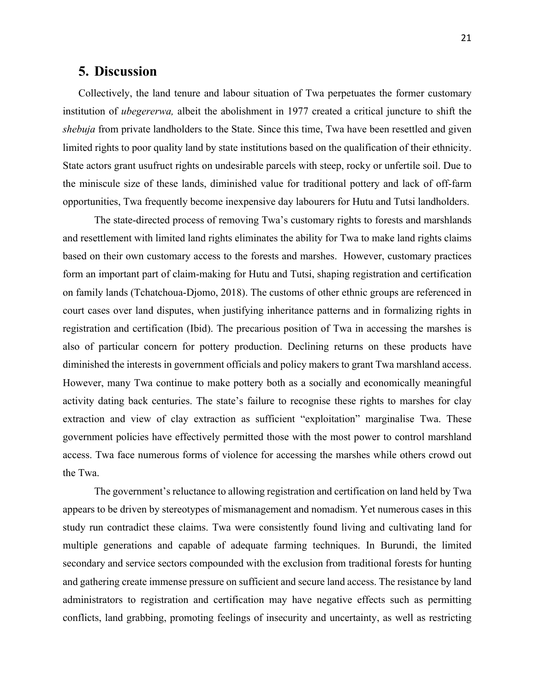## **5. Discussion**

Collectively, the land tenure and labour situation of Twa perpetuates the former customary institution of *ubegererwa,* albeit the abolishment in 1977 created a critical juncture to shift the *shebuja* from private landholders to the State. Since this time, Twa have been resettled and given limited rights to poor quality land by state institutions based on the qualification of their ethnicity. State actors grant usufruct rights on undesirable parcels with steep, rocky or unfertile soil. Due to the miniscule size of these lands, diminished value for traditional pottery and lack of off-farm opportunities, Twa frequently become inexpensive day labourers for Hutu and Tutsi landholders.

The state-directed process of removing Twa's customary rights to forests and marshlands and resettlement with limited land rights eliminates the ability for Twa to make land rights claims based on their own customary access to the forests and marshes. However, customary practices form an important part of claim-making for Hutu and Tutsi, shaping registration and certification on family lands (Tchatchoua-Djomo, 2018). The customs of other ethnic groups are referenced in court cases over land disputes, when justifying inheritance patterns and in formalizing rights in registration and certification (Ibid). The precarious position of Twa in accessing the marshes is also of particular concern for pottery production. Declining returns on these products have diminished the interests in government officials and policy makers to grant Twa marshland access. However, many Twa continue to make pottery both as a socially and economically meaningful activity dating back centuries. The state's failure to recognise these rights to marshes for clay extraction and view of clay extraction as sufficient "exploitation" marginalise Twa. These government policies have effectively permitted those with the most power to control marshland access. Twa face numerous forms of violence for accessing the marshes while others crowd out the Twa.

The government's reluctance to allowing registration and certification on land held by Twa appears to be driven by stereotypes of mismanagement and nomadism. Yet numerous cases in this study run contradict these claims. Twa were consistently found living and cultivating land for multiple generations and capable of adequate farming techniques. In Burundi, the limited secondary and service sectors compounded with the exclusion from traditional forests for hunting and gathering create immense pressure on sufficient and secure land access. The resistance by land administrators to registration and certification may have negative effects such as permitting conflicts, land grabbing, promoting feelings of insecurity and uncertainty, as well as restricting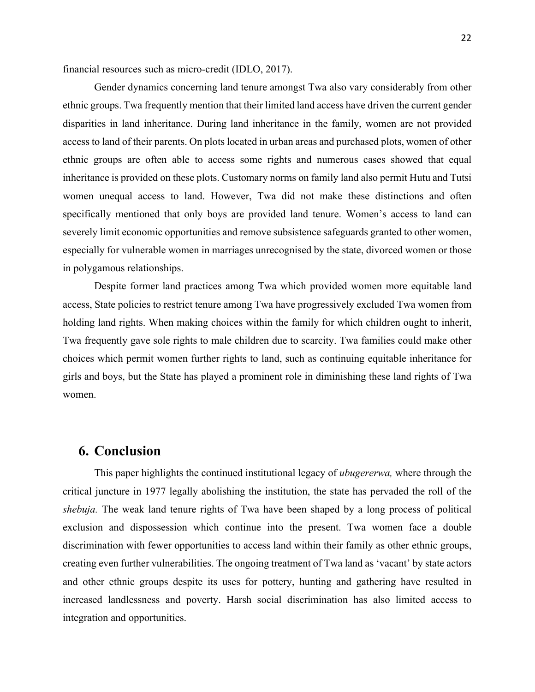financial resources such as micro-credit (IDLO, 2017).

Gender dynamics concerning land tenure amongst Twa also vary considerably from other ethnic groups. Twa frequently mention that their limited land access have driven the current gender disparities in land inheritance. During land inheritance in the family, women are not provided access to land of their parents. On plots located in urban areas and purchased plots, women of other ethnic groups are often able to access some rights and numerous cases showed that equal inheritance is provided on these plots. Customary norms on family land also permit Hutu and Tutsi women unequal access to land. However, Twa did not make these distinctions and often specifically mentioned that only boys are provided land tenure. Women's access to land can severely limit economic opportunities and remove subsistence safeguards granted to other women, especially for vulnerable women in marriages unrecognised by the state, divorced women or those in polygamous relationships.

Despite former land practices among Twa which provided women more equitable land access, State policies to restrict tenure among Twa have progressively excluded Twa women from holding land rights. When making choices within the family for which children ought to inherit, Twa frequently gave sole rights to male children due to scarcity. Twa families could make other choices which permit women further rights to land, such as continuing equitable inheritance for girls and boys, but the State has played a prominent role in diminishing these land rights of Twa women.

#### **6. Conclusion**

This paper highlights the continued institutional legacy of *ubugererwa,* where through the critical juncture in 1977 legally abolishing the institution, the state has pervaded the roll of the *shebuja.* The weak land tenure rights of Twa have been shaped by a long process of political exclusion and dispossession which continue into the present. Twa women face a double discrimination with fewer opportunities to access land within their family as other ethnic groups, creating even further vulnerabilities. The ongoing treatment of Twa land as 'vacant' by state actors and other ethnic groups despite its uses for pottery, hunting and gathering have resulted in increased landlessness and poverty. Harsh social discrimination has also limited access to integration and opportunities.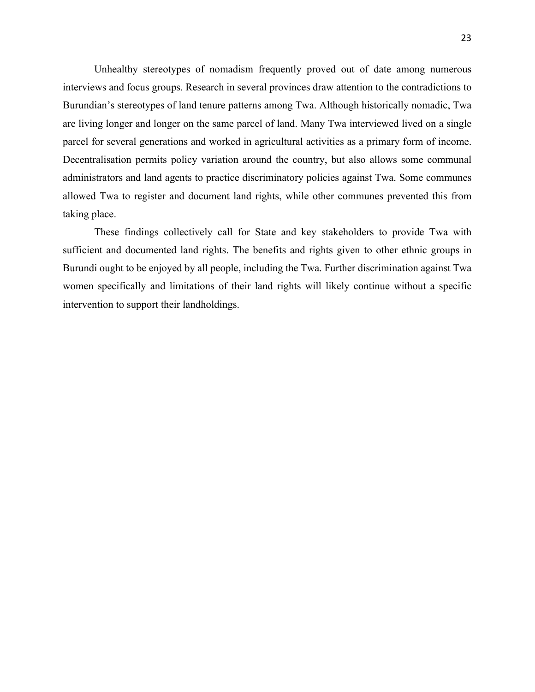Unhealthy stereotypes of nomadism frequently proved out of date among numerous interviews and focus groups. Research in several provinces draw attention to the contradictions to Burundian's stereotypes of land tenure patterns among Twa. Although historically nomadic, Twa are living longer and longer on the same parcel of land. Many Twa interviewed lived on a single parcel for several generations and worked in agricultural activities as a primary form of income. Decentralisation permits policy variation around the country, but also allows some communal administrators and land agents to practice discriminatory policies against Twa. Some communes allowed Twa to register and document land rights, while other communes prevented this from taking place.

These findings collectively call for State and key stakeholders to provide Twa with sufficient and documented land rights. The benefits and rights given to other ethnic groups in Burundi ought to be enjoyed by all people, including the Twa. Further discrimination against Twa women specifically and limitations of their land rights will likely continue without a specific intervention to support their landholdings.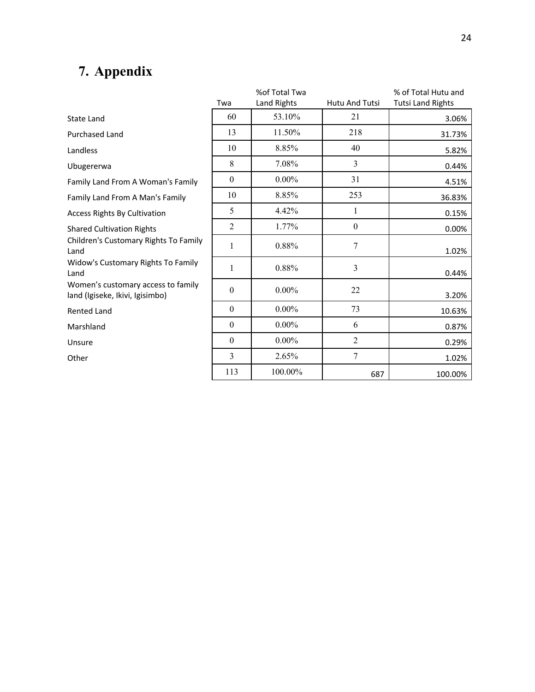## **7. Appendix**

|                                                                       |                  | %of Total Twa |                  | % of Total Hutu and      |
|-----------------------------------------------------------------------|------------------|---------------|------------------|--------------------------|
|                                                                       | Twa              | Land Rights   | Hutu And Tutsi   | <b>Tutsi Land Rights</b> |
| <b>State Land</b>                                                     | 60               | 53.10%        | 21               | 3.06%                    |
| Purchased Land                                                        | 13               | 11.50%        | 218              | 31.73%                   |
| Landless                                                              | 10               | 8.85%         | 40               | 5.82%                    |
| Ubugererwa                                                            | 8                | 7.08%         | 3                | 0.44%                    |
| Family Land From A Woman's Family                                     | $\boldsymbol{0}$ | $0.00\%$      | 31               | 4.51%                    |
| Family Land From A Man's Family                                       | 10               | 8.85%         | 253              | 36.83%                   |
| <b>Access Rights By Cultivation</b>                                   | 5                | 4.42%         | 1                | 0.15%                    |
| <b>Shared Cultivation Rights</b>                                      | $\overline{2}$   | 1.77%         | $\boldsymbol{0}$ | 0.00%                    |
| Children's Customary Rights To Family<br>Land                         | $\mathbf{1}$     | 0.88%         | 7                | 1.02%                    |
| Widow's Customary Rights To Family<br>Land                            | 1                | 0.88%         | 3                | 0.44%                    |
| Women's customary access to family<br>land (Igiseke, Ikivi, Igisimbo) | $\boldsymbol{0}$ | $0.00\%$      | 22               | 3.20%                    |
| <b>Rented Land</b>                                                    | $\boldsymbol{0}$ | $0.00\%$      | 73               | 10.63%                   |
| Marshland                                                             | $\boldsymbol{0}$ | $0.00\%$      | 6                | 0.87%                    |
| Unsure                                                                | $\boldsymbol{0}$ | $0.00\%$      | $\overline{2}$   | 0.29%                    |
| Other                                                                 | 3                | 2.65%         | $\overline{7}$   | 1.02%                    |
|                                                                       | 113              | 100.00%       | 687              | 100.00%                  |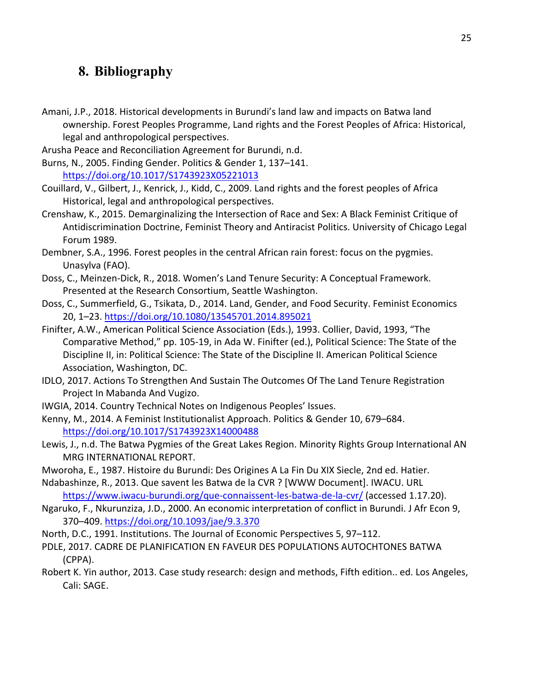## **8. Bibliography**

- Amani, J.P., 2018. Historical developments in Burundi's land law and impacts on Batwa land ownership. Forest Peoples Programme, Land rights and the Forest Peoples of Africa: Historical, legal and anthropological perspectives.
- Arusha Peace and Reconciliation Agreement for Burundi, n.d.
- Burns, N., 2005. Finding Gender. Politics & Gender 1, 137–141. https://doi.org/10.1017/S1743923X05221013
- Couillard, V., Gilbert, J., Kenrick, J., Kidd, C., 2009. Land rights and the forest peoples of Africa Historical, legal and anthropological perspectives.
- Crenshaw, K., 2015. Demarginalizing the Intersection of Race and Sex: A Black Feminist Critique of Antidiscrimination Doctrine, Feminist Theory and Antiracist Politics. University of Chicago Legal Forum 1989.
- Dembner, S.A., 1996. Forest peoples in the central African rain forest: focus on the pygmies. Unasylva (FAO).
- Doss, C., Meinzen-Dick, R., 2018. Women's Land Tenure Security: A Conceptual Framework. Presented at the Research Consortium, Seattle Washington.
- Doss, C., Summerfield, G., Tsikata, D., 2014. Land, Gender, and Food Security. Feminist Economics 20, 1–23. https://doi.org/10.1080/13545701.2014.895021
- Finifter, A.W., American Political Science Association (Eds.), 1993. Collier, David, 1993, "The Comparative Method," pp. 105-19, in Ada W. Finifter (ed.), Political Science: The State of the Discipline II, in: Political Science: The State of the Discipline II. American Political Science Association, Washington, DC.
- IDLO, 2017. Actions To Strengthen And Sustain The Outcomes Of The Land Tenure Registration Project In Mabanda And Vugizo.
- IWGIA, 2014. Country Technical Notes on Indigenous Peoples' Issues.
- Kenny, M., 2014. A Feminist Institutionalist Approach. Politics & Gender 10, 679–684. https://doi.org/10.1017/S1743923X14000488
- Lewis, J., n.d. The Batwa Pygmies of the Great Lakes Region. Minority Rights Group International AN MRG INTERNATIONAL REPORT.
- Mworoha, E., 1987. Histoire du Burundi: Des Origines A La Fin Du XIX Siecle, 2nd ed. Hatier.
- Ndabashinze, R., 2013. Que savent les Batwa de la CVR ? [WWW Document]. IWACU. URL https://www.iwacu-burundi.org/que-connaissent-les-batwa-de-la-cvr/ (accessed 1.17.20).
- Ngaruko, F., Nkurunziza, J.D., 2000. An economic interpretation of conflict in Burundi. J Afr Econ 9, 370–409. https://doi.org/10.1093/jae/9.3.370
- North, D.C., 1991. Institutions. The Journal of Economic Perspectives 5, 97–112.
- PDLE, 2017. CADRE DE PLANIFICATION EN FAVEUR DES POPULATIONS AUTOCHTONES BATWA (CPPA).
- Robert K. Yin author, 2013. Case study research: design and methods, Fifth edition.. ed. Los Angeles, Cali: SAGE.